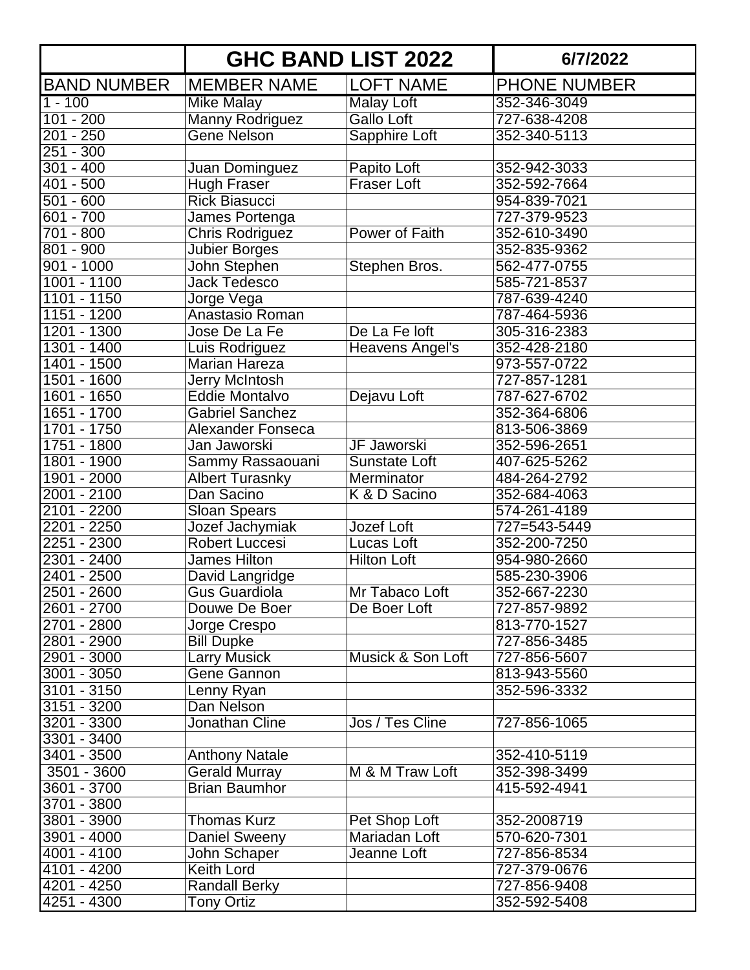|                    |                          | <b>GHC BAND LIST 2022</b> | 6/7/2022            |
|--------------------|--------------------------|---------------------------|---------------------|
| <b>BAND NUMBER</b> | <b>MEMBER NAME</b>       | <b>LOFT NAME</b>          | <b>PHONE NUMBER</b> |
| $1 - 100$          | Mike Malay               | Malay Loft                | 352-346-3049        |
| $101 - 200$        | <b>Manny Rodriguez</b>   | Gallo Loft                | 727-638-4208        |
| $201 - 250$        | <b>Gene Nelson</b>       | Sapphire Loft             | 352-340-5113        |
| $251 - 300$        |                          |                           |                     |
| $301 - 400$        | Juan Dominguez           | Papito Loft               | 352-942-3033        |
| $401 - 500$        | <b>Hugh Fraser</b>       | <b>Fraser Loft</b>        | 352-592-7664        |
| $501 - 600$        | <b>Rick Biasucci</b>     |                           | 954-839-7021        |
| $601 - 700$        | James Portenga           |                           | 727-379-9523        |
| 701 - 800          | <b>Chris Rodriguez</b>   | Power of Faith            | 352-610-3490        |
| 801 - 900          | Jubier Borges            |                           | 352-835-9362        |
| $901 - 1000$       | John Stephen             | Stephen Bros.             | 562-477-0755        |
| 1001 - 1100        | Jack Tedesco             |                           | 585-721-8537        |
| 1101 - 1150        | Jorge Vega               |                           | 787-639-4240        |
| 1151 - 1200        | Anastasio Roman          |                           | 787-464-5936        |
| 1201 - 1300        | Jose De La Fe            | De La Fe loft             | 305-316-2383        |
| $1301 - 1400$      | Luis Rodriguez           | Heavens Angel's           | 352-428-2180        |
| 1401 - 1500        | <b>Marian Hareza</b>     |                           | 973-557-0722        |
| 1501 - 1600        | Jerry McIntosh           |                           | 727-857-1281        |
| 1601 - 1650        | <b>Eddie Montalvo</b>    | Dejavu Loft               | 787-627-6702        |
| 1651 - 1700        | <b>Gabriel Sanchez</b>   |                           | 352-364-6806        |
| 1701 - 1750        | <b>Alexander Fonseca</b> |                           | 813-506-3869        |
| 1751 - 1800        | Jan Jaworski             | JF Jaworski               | 352-596-2651        |
| 1801 - 1900        | Sammy Rassaouani         | <b>Sunstate Loft</b>      | 407-625-5262        |
| 1901 - 2000        | <b>Albert Turasnky</b>   | Merminator                | 484-264-2792        |
| 2001 - 2100        | Dan Sacino               | K & D Sacino              | 352-684-4063        |
| 2101 - 2200        | <b>Sloan Spears</b>      |                           | 574-261-4189        |
| 2201 - 2250        | Jozef Jachymiak          | Jozef Loft                | 727=543-5449        |
| 2251 - 2300        | <b>Robert Luccesi</b>    | Lucas Loft                | 352-200-7250        |
| $2301 - 2400$      | <b>James Hilton</b>      | <b>Hilton Loft</b>        | 954-980-2660        |
| 2401 - 2500        | David Langridge          |                           | 585-230-3906        |
| 2501 - 2600        | <b>Gus Guardiola</b>     | Mr Tabaco Loft            | 352-667-2230        |
| 2601 - 2700        | Douwe De Boer            | De Boer Loft              | 727-857-9892        |
| 2701 - 2800        | Jorge Crespo             |                           | 813-770-1527        |
| 2801 - 2900        | <b>Bill Dupke</b>        |                           | 727-856-3485        |
| 2901 - 3000        | <b>Larry Musick</b>      | Musick & Son Loft         | 727-856-5607        |
| $3001 - 3050$      | <b>Gene Gannon</b>       |                           | 813-943-5560        |
| $3101 - 3150$      | Lenny Ryan               |                           | 352-596-3332        |
| $3151 - 3200$      | Dan Nelson               |                           |                     |
| 3201 - 3300        | Jonathan Cline           | Jos / Tes Cline           | 727-856-1065        |
| 3301 - 3400        |                          |                           |                     |
| 3401 - 3500        | <b>Anthony Natale</b>    |                           | 352-410-5119        |
| 3501 - 3600        | <b>Gerald Murray</b>     | M & M Traw Loft           | 352-398-3499        |
| 3601 - 3700        | <b>Brian Baumhor</b>     |                           | 415-592-4941        |
| 3701 - 3800        |                          |                           |                     |
| 3801 - 3900        | Thomas Kurz              | Pet Shop Loft             | 352-2008719         |
| 3901 - 4000        | Daniel Sweeny            | Mariadan Loft             | 570-620-7301        |
| 4001 - 4100        | John Schaper             | Jeanne Loft               | 727-856-8534        |
| 4101 - 4200        | Keith Lord               |                           | 727-379-0676        |
| 4201 - 4250        | <b>Randall Berky</b>     |                           | 727-856-9408        |
| 4251 - 4300        | Tony Ortiz               |                           | 352-592-5408        |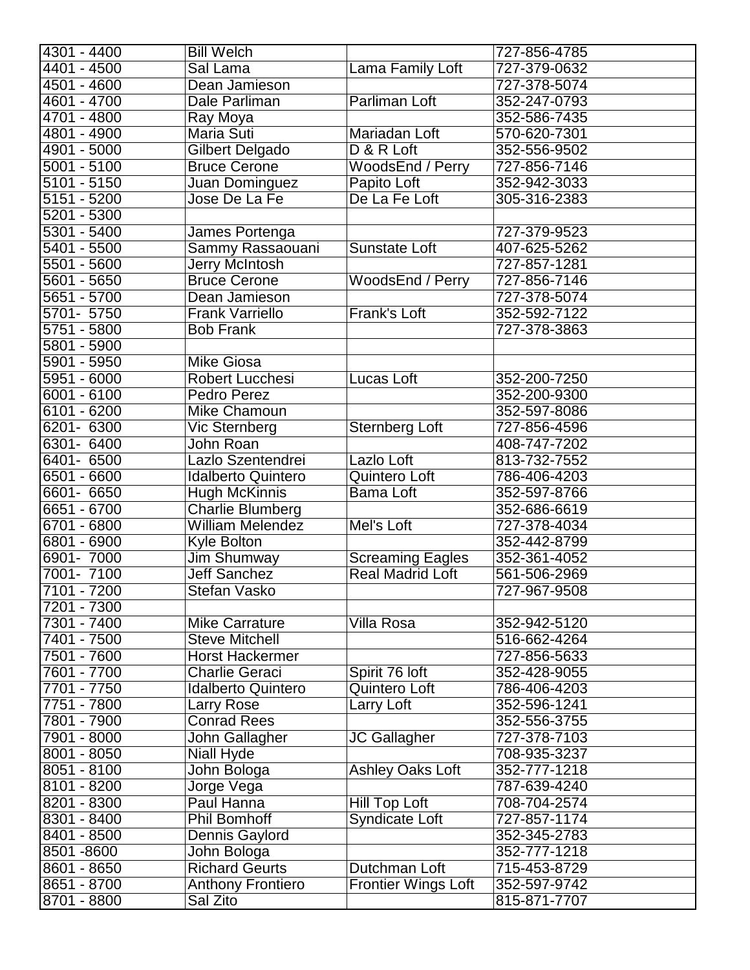| $4301 - 4400$            | <b>Bill Welch</b>         |                            | 727-856-4785 |
|--------------------------|---------------------------|----------------------------|--------------|
| 4401 - 4500              | Sal Lama                  | Lama Family Loft           | 727-379-0632 |
| 4501 - 4600              | Dean Jamieson             |                            | 727-378-5074 |
| $4601 - 4700$            | Dale Parliman             | Parliman Loft              | 352-247-0793 |
| 4701 - 4800              | Ray Moya                  |                            | 352-586-7435 |
| 4801 - 4900              | Maria Suti                | Mariadan Loft              | 570-620-7301 |
| 4901 - 5000              | Gilbert Delgado           | D & R Loft                 | 352-556-9502 |
| $5001 - 5100$            | <b>Bruce Cerone</b>       | WoodsEnd / Perry           | 727-856-7146 |
| 5101 - 5150              | Juan Dominguez            | Papito Loft                | 352-942-3033 |
| 5151 - 5200              | Jose De La Fe             | De La Fe Loft              | 305-316-2383 |
| 5201 - 5300              |                           |                            |              |
| 5301 - 5400              | James Portenga            |                            | 727-379-9523 |
| 5401 - 5500              | Sammy Rassaouani          | <b>Sunstate Loft</b>       | 407-625-5262 |
| 5501 - 5600              | Jerry McIntosh            |                            | 727-857-1281 |
| 5601 - 5650              | <b>Bruce Cerone</b>       | WoodsEnd / Perry           | 727-856-7146 |
| 5651 - 5700              | Dean Jamieson             |                            | 727-378-5074 |
| 5701-5750                | <b>Frank Varriello</b>    | Frank's Loft               |              |
| 5751 - 5800              |                           |                            | 352-592-7122 |
|                          | <b>Bob Frank</b>          |                            | 727-378-3863 |
| 5801 - 5900              |                           |                            |              |
| 5901 - 5950              | <b>Mike Giosa</b>         |                            |              |
| 5951 - 6000              | Robert Lucchesi           | Lucas Loft                 | 352-200-7250 |
| $\overline{6001} - 6100$ | Pedro Perez               |                            | 352-200-9300 |
| 6101 - 6200              | Mike Chamoun              |                            | 352-597-8086 |
| 6201- 6300               | Vic Sternberg             | Sternberg Loft             | 727-856-4596 |
| 6301- 6400               | John Roan                 |                            | 408-747-7202 |
| 6401- 6500               | Lazlo Szentendrei         | Lazlo Loft                 | 813-732-7552 |
| 6501 - 6600              | <b>Idalberto Quintero</b> | Quintero Loft              | 786-406-4203 |
| 6601- 6650               | Hugh McKinnis             | Bama Loft                  | 352-597-8766 |
| 6651 - 6700              | <b>Charlie Blumberg</b>   |                            | 352-686-6619 |
| 6701 - 6800              | <b>William Melendez</b>   | Mel's Loft                 | 727-378-4034 |
| 6801 - 6900              | <b>Kyle Bolton</b>        |                            | 352-442-8799 |
| 6901-7000                | Jim Shumway               | <b>Screaming Eagles</b>    | 352-361-4052 |
| 7001-7100                | Jeff Sanchez              | <b>Real Madrid Loft</b>    | 561-506-2969 |
| 7101 - 7200              | Stefan Vasko              |                            | 727-967-9508 |
| 7201 - 7300              |                           |                            |              |
| 7301 - 7400              | <b>Mike Carrature</b>     | <b>Villa Rosa</b>          | 352-942-5120 |
| 7401 - 7500              | <b>Steve Mitchell</b>     |                            | 516-662-4264 |
| 7501 - 7600              | <b>Horst Hackermer</b>    |                            | 727-856-5633 |
| 7601 - 7700              | <b>Charlie Geraci</b>     | Spirit 76 loft             | 352-428-9055 |
| 7701 - 7750              | <b>Idalberto Quintero</b> | Quintero Loft              | 786-406-4203 |
| 7751 - 7800              | Larry Rose                | Larry Loft                 | 352-596-1241 |
| 7801 - 7900              | <b>Conrad Rees</b>        |                            | 352-556-3755 |
| 7901 - 8000              | John Gallagher            | JC Gallagher               | 727-378-7103 |
| 8001 - 8050              | Niall Hyde                |                            | 708-935-3237 |
| 8051 - 8100              | John Bologa               | <b>Ashley Oaks Loft</b>    | 352-777-1218 |
| 8101 - 8200              | Jorge Vega                |                            | 787-639-4240 |
| 8201 - 8300              | Paul Hanna                | Hill Top Loft              | 708-704-2574 |
| 8301 - 8400              | <b>Phil Bomhoff</b>       | Syndicate Loft             | 727-857-1174 |
| 8401 - 8500              | Dennis Gaylord            |                            | 352-345-2783 |
| 8501-8600                | John Bologa               |                            | 352-777-1218 |
| 8601 - 8650              | <b>Richard Geurts</b>     | Dutchman Loft              | 715-453-8729 |
| 8651 - 8700              |                           | <b>Frontier Wings Loft</b> | 352-597-9742 |
|                          | <b>Anthony Frontiero</b>  |                            |              |
| 8701 - 8800              | Sal Zito                  |                            | 815-871-7707 |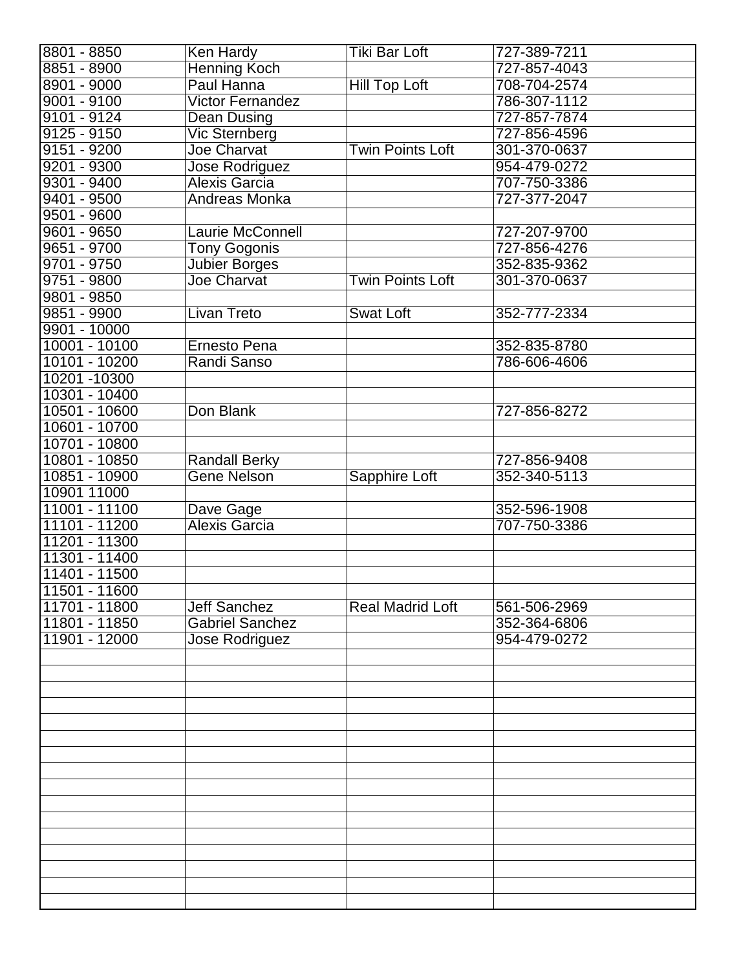| 8801 - 8850     | Ken Hardy               | Tiki Bar Loft           | 727-389-7211 |
|-----------------|-------------------------|-------------------------|--------------|
| 8851 - 8900     | Henning Koch            |                         | 727-857-4043 |
| 8901 - 9000     | Paul Hanna              | Hill Top Loft           | 708-704-2574 |
| 9001 - 9100     | <b>Victor Fernandez</b> |                         | 786-307-1112 |
| $9101 - 9124$   | Dean Dusing             |                         | 727-857-7874 |
| $9125 - 9150$   | Vic Sternberg           |                         | 727-856-4596 |
| $9151 - 9200$   | Joe Charvat             | Twin Points Loft        | 301-370-0637 |
| $9201 - 9300$   | <b>Jose Rodriguez</b>   |                         | 954-479-0272 |
| $9301 - 9400$   | Alexis Garcia           |                         | 707-750-3386 |
| 9401 - 9500     | Andreas Monka           |                         | 727-377-2047 |
| $9501 - 9600$   |                         |                         |              |
| 9601 - 9650     | Laurie McConnell        |                         | 727-207-9700 |
| 9651 - 9700     | <b>Tony Gogonis</b>     |                         | 727-856-4276 |
| $9701 - 9750$   | Jubier Borges           |                         | 352-835-9362 |
| 9751 - 9800     | Joe Charvat             | Twin Points Loft        | 301-370-0637 |
| 9801 - 9850     |                         |                         |              |
| 9851 - 9900     | <b>Livan Treto</b>      | <b>Swat Loft</b>        | 352-777-2334 |
| $9901 - 10000$  |                         |                         |              |
| $10001 - 10100$ | Ernesto Pena            |                         | 352-835-8780 |
| 10101 - 10200   | Randi Sanso             |                         | 786-606-4606 |
| 10201 -10300    |                         |                         |              |
| 10301 - 10400   |                         |                         |              |
| 10501 - 10600   | Don Blank               |                         | 727-856-8272 |
| 10601 - 10700   |                         |                         |              |
| 10701 - 10800   |                         |                         |              |
| 10801 - 10850   | <b>Randall Berky</b>    |                         | 727-856-9408 |
| 10851 - 10900   | <b>Gene Nelson</b>      | Sapphire Loft           | 352-340-5113 |
| 10901 11000     |                         |                         |              |
| 11001 - 11100   | Dave Gage               |                         | 352-596-1908 |
| 11101 - 11200   | Alexis Garcia           |                         | 707-750-3386 |
| 11201 - 11300   |                         |                         |              |
| 11301 - 11400   |                         |                         |              |
| 11401 - 11500   |                         |                         |              |
| 11501 - 11600   |                         |                         |              |
| 11701 - 11800   | <b>Jeff Sanchez</b>     | <b>Real Madrid Loft</b> | 561-506-2969 |
| 11801 - 11850   | <b>Gabriel Sanchez</b>  |                         | 352-364-6806 |
| 11901 - 12000   | <b>Jose Rodriguez</b>   |                         | 954-479-0272 |
|                 |                         |                         |              |
|                 |                         |                         |              |
|                 |                         |                         |              |
|                 |                         |                         |              |
|                 |                         |                         |              |
|                 |                         |                         |              |
|                 |                         |                         |              |
|                 |                         |                         |              |
|                 |                         |                         |              |
|                 |                         |                         |              |
|                 |                         |                         |              |
|                 |                         |                         |              |
|                 |                         |                         |              |
|                 |                         |                         |              |
|                 |                         |                         |              |
|                 |                         |                         |              |